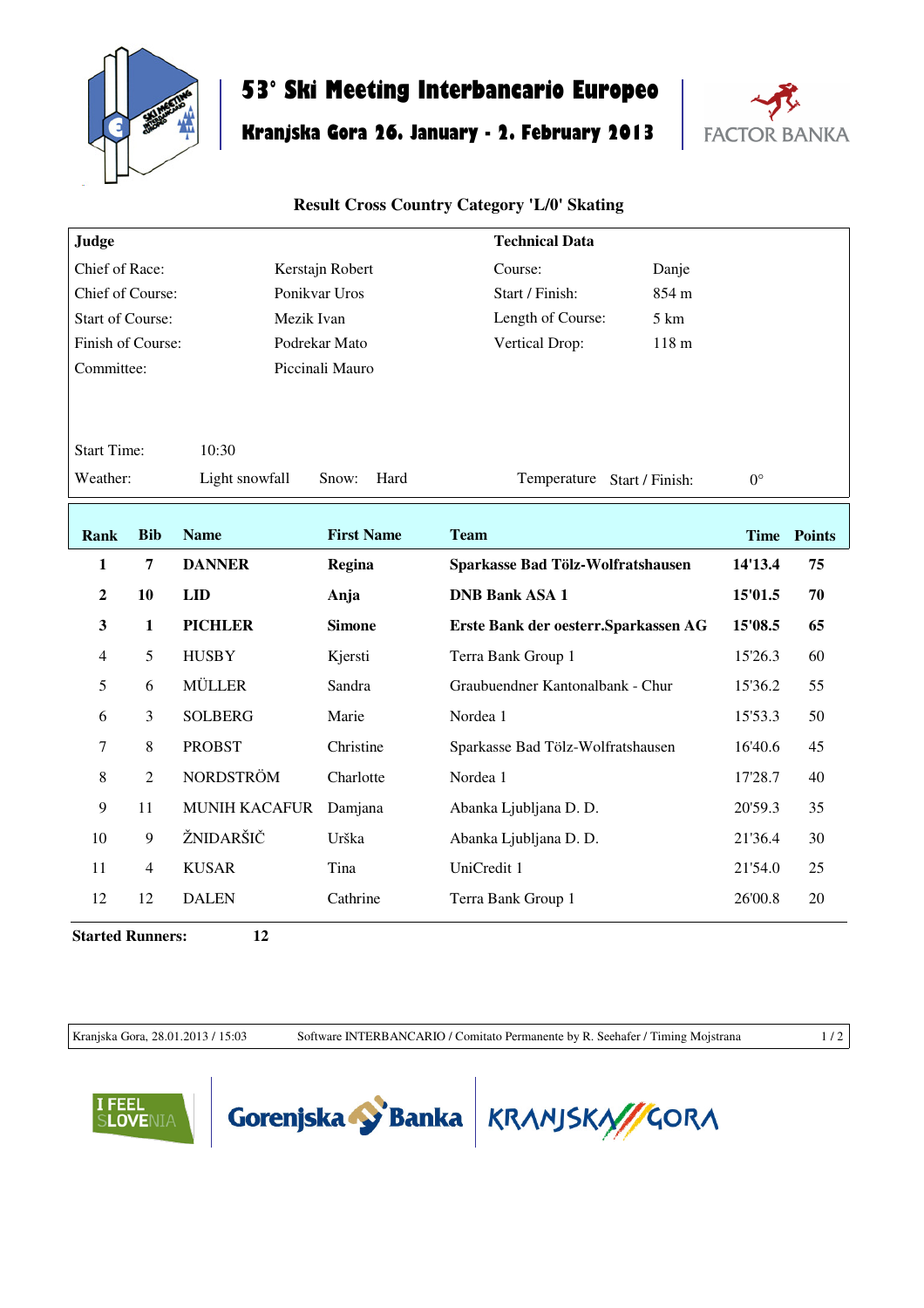

## **53° Ski Meeting Interbancario Europeo**

## **Kranjska Gora 26. January - 2. February 2013**



## **Result Cross Country Category 'L/0' Skating**

| Judge                                 |                |                      |                   | <b>Technical Data</b>                 |             |               |  |  |  |  |
|---------------------------------------|----------------|----------------------|-------------------|---------------------------------------|-------------|---------------|--|--|--|--|
| Chief of Race:                        |                |                      | Kerstajn Robert   | Course:<br>Danje                      |             |               |  |  |  |  |
| Chief of Course:                      |                |                      | Ponikvar Uros     | Start / Finish:<br>854 m              |             |               |  |  |  |  |
| <b>Start of Course:</b><br>Mezik Ivan |                |                      |                   | Length of Course:<br>$5 \mathrm{km}$  |             |               |  |  |  |  |
| Finish of Course:                     |                |                      | Podrekar Mato     | 118 <sub>m</sub><br>Vertical Drop:    |             |               |  |  |  |  |
| Committee:                            |                |                      | Piccinali Mauro   |                                       |             |               |  |  |  |  |
|                                       |                |                      |                   |                                       |             |               |  |  |  |  |
|                                       |                |                      |                   |                                       |             |               |  |  |  |  |
| <b>Start Time:</b><br>10:30           |                |                      |                   |                                       |             |               |  |  |  |  |
| Weather:                              |                | Light snowfall       | Hard<br>Snow:     | Temperature Start / Finish:           | $0^{\circ}$ |               |  |  |  |  |
|                                       |                |                      |                   |                                       |             |               |  |  |  |  |
| <b>Rank</b>                           | <b>Bib</b>     | <b>Name</b>          | <b>First Name</b> | <b>Team</b>                           | <b>Time</b> | <b>Points</b> |  |  |  |  |
| $\mathbf{1}$                          | $\overline{7}$ | <b>DANNER</b>        | Regina            | Sparkasse Bad Tölz-Wolfratshausen     | 14'13.4     | 75            |  |  |  |  |
| $\boldsymbol{2}$                      | 10             | <b>LID</b>           | Anja              | <b>DNB Bank ASA 1</b>                 | 15'01.5     | 70            |  |  |  |  |
| $\mathbf{3}$                          | $\mathbf{1}$   | <b>PICHLER</b>       | <b>Simone</b>     | Erste Bank der oesterr. Sparkassen AG | 15'08.5     | 65            |  |  |  |  |
| 4                                     | 5              | <b>HUSBY</b>         | Kjersti           | Terra Bank Group 1                    | 15'26.3     | 60            |  |  |  |  |
| 5                                     | 6              | <b>MÜLLER</b>        | Sandra            | Graubuendner Kantonalbank - Chur      | 15'36.2     | 55            |  |  |  |  |
| 6                                     | 3              | <b>SOLBERG</b>       | Marie             | Nordea 1                              | 15'53.3     | 50            |  |  |  |  |
| $\tau$                                | 8              | <b>PROBST</b>        | Christine         | Sparkasse Bad Tölz-Wolfratshausen     | 16'40.6     | 45            |  |  |  |  |
| 8                                     | $\overline{c}$ | <b>NORDSTRÖM</b>     | Charlotte         | Nordea 1                              | 17'28.7     | 40            |  |  |  |  |
| 9                                     | 11             | <b>MUNIH KACAFUR</b> | Damjana           | Abanka Ljubljana D. D.                | 20'59.3     | 35            |  |  |  |  |
| 10                                    | 9              | ŽNIDARŠIČ            | Urška             | Abanka Ljubljana D. D.                | 21'36.4     | 30            |  |  |  |  |
| 11                                    | $\overline{4}$ | <b>KUSAR</b>         | Tina              | UniCredit 1                           | 21'54.0     | 25            |  |  |  |  |
| 12                                    | 12             | <b>DALEN</b>         | Cathrine          | Terra Bank Group 1                    | 26'00.8     | 20            |  |  |  |  |

**Started Runners: 12**

Kranjska Gora, 28.01.2013 / 15:03 Software INTERBANCARIO / Comitato Permanente by R. Seehafer / Timing Mojstrana 1 / 2